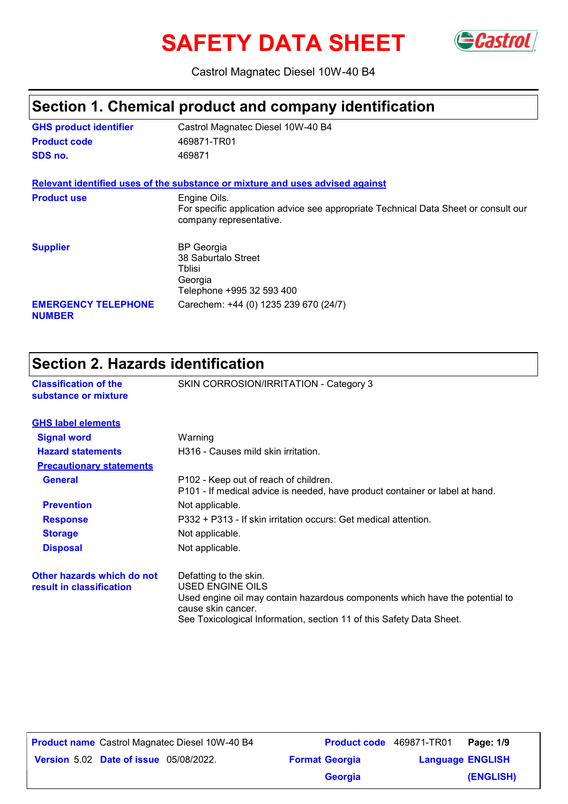# **SAFETY DATA SHEET** GCastrol



Castrol Magnatec Diesel 10W-40 B4

#### **Section 1. Chemical product and company identification**

| <b>GHS product identifier</b>               | Castrol Magnatec Diesel 10W-40 B4                                                                                              |
|---------------------------------------------|--------------------------------------------------------------------------------------------------------------------------------|
| <b>Product code</b>                         | 469871-TR01                                                                                                                    |
| SDS no.                                     | 469871                                                                                                                         |
|                                             | Relevant identified uses of the substance or mixture and uses advised against                                                  |
| <b>Product use</b>                          | Engine Oils.<br>For specific application advice see appropriate Technical Data Sheet or consult our<br>company representative. |
| <b>Supplier</b>                             | <b>BP</b> Georgia<br>38 Saburtalo Street<br>Tblisi<br>Georgia<br>Telephone +995 32 593 400                                     |
| <b>EMERGENCY TELEPHONE</b><br><b>NUMBER</b> | Carechem: +44 (0) 1235 239 670 (24/7)                                                                                          |

### **Section 2. Hazards identification**

| <b>Classification of the</b><br>substance or mixture   | SKIN CORROSION/IRRITATION - Category 3                                                                                                                                                                                          |
|--------------------------------------------------------|---------------------------------------------------------------------------------------------------------------------------------------------------------------------------------------------------------------------------------|
| <b>GHS label elements</b>                              |                                                                                                                                                                                                                                 |
| <b>Signal word</b>                                     | Warning                                                                                                                                                                                                                         |
| <b>Hazard statements</b>                               | H316 - Causes mild skin irritation.                                                                                                                                                                                             |
| <b>Precautionary statements</b>                        |                                                                                                                                                                                                                                 |
| <b>General</b>                                         | P102 - Keep out of reach of children.<br>P101 - If medical advice is needed, have product container or label at hand.                                                                                                           |
| <b>Prevention</b>                                      | Not applicable.                                                                                                                                                                                                                 |
| <b>Response</b>                                        | P332 + P313 - If skin irritation occurs: Get medical attention.                                                                                                                                                                 |
| <b>Storage</b>                                         | Not applicable.                                                                                                                                                                                                                 |
| <b>Disposal</b>                                        | Not applicable.                                                                                                                                                                                                                 |
| Other hazards which do not<br>result in classification | Defatting to the skin.<br><b>USED ENGINE OILS</b><br>Used engine oil may contain hazardous components which have the potential to<br>cause skin cancer.<br>See Toxicological Information, section 11 of this Safety Data Sheet. |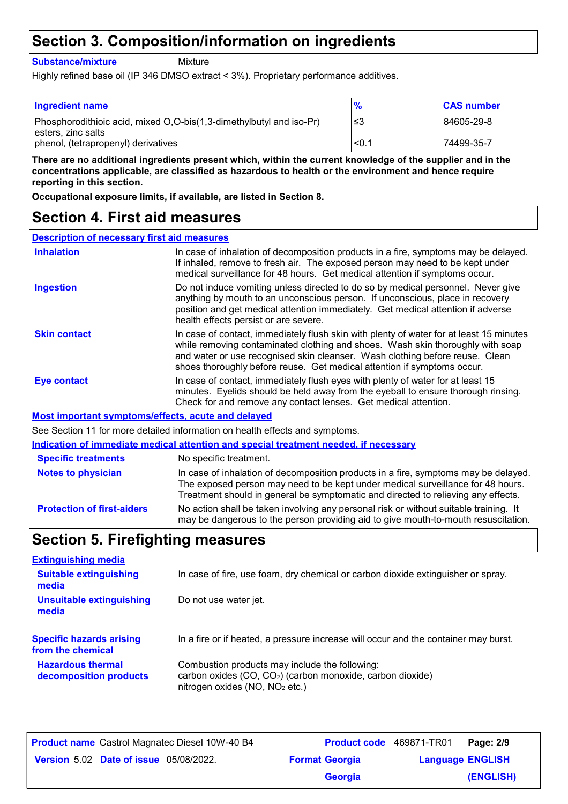### **Section 3. Composition/information on ingredients**

**Substance/mixture**

**Mixture** 

Highly refined base oil (IP 346 DMSO extract < 3%). Proprietary performance additives.

| <b>Ingredient name</b>                                                                      | $\frac{9}{6}$ | <b>CAS number</b> |
|---------------------------------------------------------------------------------------------|---------------|-------------------|
| Phosphorodithioic acid, mixed O,O-bis(1,3-dimethylbutyl and iso-Pr)<br>l esters. zinc salts | -≤3           | 84605-29-8        |
| phenol, (tetrapropenyl) derivatives                                                         | < 0.1         | 74499-35-7        |

**There are no additional ingredients present which, within the current knowledge of the supplier and in the concentrations applicable, are classified as hazardous to health or the environment and hence require reporting in this section.**

**Occupational exposure limits, if available, are listed in Section 8.**

#### **Section 4. First aid measures**

| <b>Description of necessary first aid measures</b> |                                                                                                                                                                                                                                                                                                                                      |
|----------------------------------------------------|--------------------------------------------------------------------------------------------------------------------------------------------------------------------------------------------------------------------------------------------------------------------------------------------------------------------------------------|
| <b>Inhalation</b>                                  | In case of inhalation of decomposition products in a fire, symptoms may be delayed.<br>If inhaled, remove to fresh air. The exposed person may need to be kept under<br>medical surveillance for 48 hours. Get medical attention if symptoms occur.                                                                                  |
| <b>Ingestion</b>                                   | Do not induce vomiting unless directed to do so by medical personnel. Never give<br>anything by mouth to an unconscious person. If unconscious, place in recovery<br>position and get medical attention immediately. Get medical attention if adverse<br>health effects persist or are severe.                                       |
| <b>Skin contact</b>                                | In case of contact, immediately flush skin with plenty of water for at least 15 minutes<br>while removing contaminated clothing and shoes. Wash skin thoroughly with soap<br>and water or use recognised skin cleanser. Wash clothing before reuse. Clean<br>shoes thoroughly before reuse. Get medical attention if symptoms occur. |
| Eye contact                                        | In case of contact, immediately flush eyes with plenty of water for at least 15<br>minutes. Eyelids should be held away from the eyeball to ensure thorough rinsing.<br>Check for and remove any contact lenses. Get medical attention.                                                                                              |
|                                                    | Most important symptoms/effects, acute and delayed                                                                                                                                                                                                                                                                                   |
|                                                    | See Section 11 for more detailed information on health effects and symptoms.                                                                                                                                                                                                                                                         |
|                                                    | Indication of immediate medical attention and special treatment needed, if necessary                                                                                                                                                                                                                                                 |
| <b>Specific treatments</b>                         | No specific treatment.                                                                                                                                                                                                                                                                                                               |
| <b>Notes to physician</b>                          | In case of inhalation of decomposition products in a fire, symptoms may be delayed.                                                                                                                                                                                                                                                  |

**Protection of first-aiders** No action shall be taken involving any personal risk or without suitable training. It may be dangerous to the person providing aid to give mouth-to-mouth resuscitation. The exposed person may need to be kept under medical surveillance for 48 hours. Treatment should in general be symptomatic and directed to relieving any effects.

### **Section 5. Firefighting measures**

| <b>Extinguishing media</b>               |                                                                                     |
|------------------------------------------|-------------------------------------------------------------------------------------|
| <b>Suitable extinguishing</b><br>media   | In case of fire, use foam, dry chemical or carbon dioxide extinguisher or spray.    |
| <b>Unsuitable extinguishing</b><br>media | Do not use water jet.                                                               |
| <b>Specific hazards arising</b>          | In a fire or if heated, a pressure increase will occur and the container may burst. |
| from the chemical                        |                                                                                     |

| <b>Product name</b> Castrol Magnatec Diesel 10W-40 B4 | Product code 469871-TR01 |                         | Page: 2/9 |
|-------------------------------------------------------|--------------------------|-------------------------|-----------|
| <b>Version 5.02 Date of issue 05/08/2022.</b>         | <b>Format Georgia</b>    | <b>Language ENGLISH</b> |           |
|                                                       | <b>Georgia</b>           |                         | (ENGLISH) |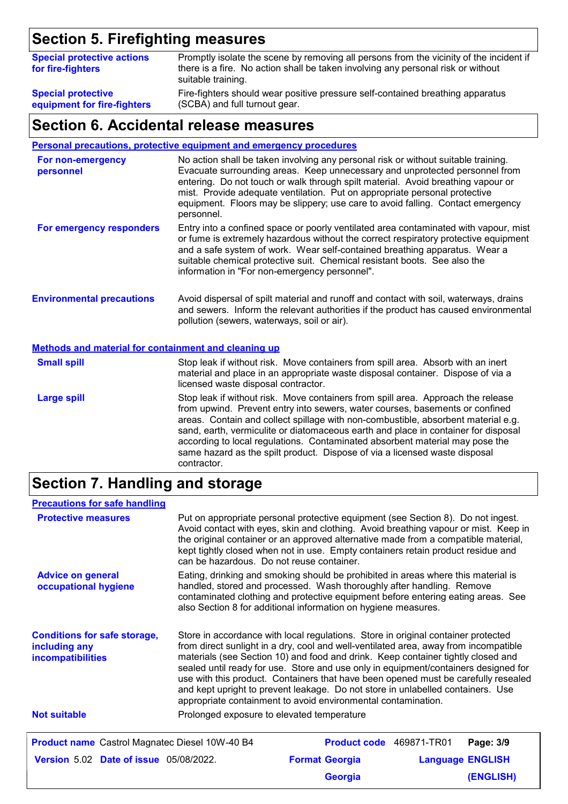# **Section 5. Firefighting measures**

| <b>Special protective actions</b><br>for fire-fighters | Promptly isolate the scene by removing all persons from the vicinity of the incident if<br>there is a fire. No action shall be taken involving any personal risk or without<br>suitable training. |
|--------------------------------------------------------|---------------------------------------------------------------------------------------------------------------------------------------------------------------------------------------------------|
| <b>Special protective</b>                              | Fire-fighters should wear positive pressure self-contained breathing apparatus                                                                                                                    |
| equipment for fire-fighters                            | (SCBA) and full turnout gear.                                                                                                                                                                     |

#### **Section 6. Accidental release measures**

**Personal precautions, protective equipment and emergency procedures**

| For non-emergency<br>personnel                              | No action shall be taken involving any personal risk or without suitable training.<br>Evacuate surrounding areas. Keep unnecessary and unprotected personnel from<br>entering. Do not touch or walk through spilt material. Avoid breathing vapour or<br>mist. Provide adequate ventilation. Put on appropriate personal protective<br>equipment. Floors may be slippery; use care to avoid falling. Contact emergency<br>personnel. |
|-------------------------------------------------------------|--------------------------------------------------------------------------------------------------------------------------------------------------------------------------------------------------------------------------------------------------------------------------------------------------------------------------------------------------------------------------------------------------------------------------------------|
| For emergency responders                                    | Entry into a confined space or poorly ventilated area contaminated with vapour, mist<br>or fume is extremely hazardous without the correct respiratory protective equipment<br>and a safe system of work. Wear self-contained breathing apparatus. Wear a<br>suitable chemical protective suit. Chemical resistant boots. See also the<br>information in "For non-emergency personnel".                                              |
| <b>Environmental precautions</b>                            | Avoid dispersal of spilt material and runoff and contact with soil, waterways, drains<br>and sewers. Inform the relevant authorities if the product has caused environmental<br>pollution (sewers, waterways, soil or air).                                                                                                                                                                                                          |
| <b>Methods and material for containment and cleaning up</b> |                                                                                                                                                                                                                                                                                                                                                                                                                                      |
| <b>Small spill</b>                                          | Stop leak if without risk. Move containers from spill area. Absorb with an inert<br>material and place in an appropriate waste disposal container. Dispose of via a<br>licensed waste disposal contractor.                                                                                                                                                                                                                           |
| <b>Large spill</b>                                          | Stop leak if without risk. Move containers from spill area. Approach the release<br>from upwind. Prevent entry into sewers, water courses, basements or confined                                                                                                                                                                                                                                                                     |

areas. Contain and collect spillage with non-combustible, absorbent material e.g. sand, earth, vermiculite or diatomaceous earth and place in container for disposal according to local regulations. Contaminated absorbent material may pose the same hazard as the spilt product. Dispose of via a licensed waste disposal contractor.

# **Section 7. Handling and storage**

| <b>Precautions for safe handling</b>                                      |                                            |                                                                                                                                                                                                                                                                                                                                                                                                                                                                                                                                                                                                |                         |
|---------------------------------------------------------------------------|--------------------------------------------|------------------------------------------------------------------------------------------------------------------------------------------------------------------------------------------------------------------------------------------------------------------------------------------------------------------------------------------------------------------------------------------------------------------------------------------------------------------------------------------------------------------------------------------------------------------------------------------------|-------------------------|
| <b>Protective measures</b>                                                | can be hazardous. Do not reuse container.  | Put on appropriate personal protective equipment (see Section 8). Do not ingest.<br>Avoid contact with eyes, skin and clothing. Avoid breathing vapour or mist. Keep in<br>the original container or an approved alternative made from a compatible material,<br>kept tightly closed when not in use. Empty containers retain product residue and                                                                                                                                                                                                                                              |                         |
| <b>Advice on general</b><br>occupational hygiene                          |                                            | Eating, drinking and smoking should be prohibited in areas where this material is<br>handled, stored and processed. Wash thoroughly after handling. Remove<br>contaminated clothing and protective equipment before entering eating areas. See<br>also Section 8 for additional information on hygiene measures.                                                                                                                                                                                                                                                                               |                         |
| <b>Conditions for safe storage,</b><br>including any<br>incompatibilities |                                            | Store in accordance with local regulations. Store in original container protected<br>from direct sunlight in a dry, cool and well-ventilated area, away from incompatible<br>materials (see Section 10) and food and drink. Keep container tightly closed and<br>sealed until ready for use. Store and use only in equipment/containers designed for<br>use with this product. Containers that have been opened must be carefully resealed<br>and kept upright to prevent leakage. Do not store in unlabelled containers. Use<br>appropriate containment to avoid environmental contamination. |                         |
| <b>Not suitable</b>                                                       | Prolonged exposure to elevated temperature |                                                                                                                                                                                                                                                                                                                                                                                                                                                                                                                                                                                                |                         |
| <b>Product name</b> Castrol Magnatec Diesel 10W-40 B4                     |                                            | <b>Product code</b> 469871-TR01                                                                                                                                                                                                                                                                                                                                                                                                                                                                                                                                                                | Page: 3/9               |
| <b>Version 5.02 Date of issue 05/08/2022.</b>                             |                                            | <b>Format Georgia</b>                                                                                                                                                                                                                                                                                                                                                                                                                                                                                                                                                                          | <b>Language ENGLISH</b> |
|                                                                           |                                            | <b>Georgia</b>                                                                                                                                                                                                                                                                                                                                                                                                                                                                                                                                                                                 | (ENGLISH)               |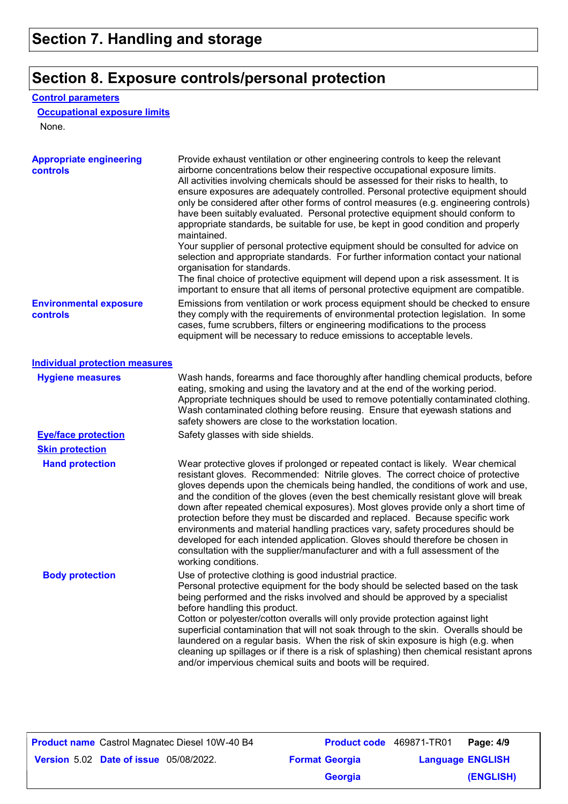### **Section 8. Exposure controls/personal protection**

#### **Control parameters**

#### **Occupational exposure limits**

None.

| <b>Appropriate engineering</b><br>controls | Provide exhaust ventilation or other engineering controls to keep the relevant<br>airborne concentrations below their respective occupational exposure limits.<br>All activities involving chemicals should be assessed for their risks to health, to<br>ensure exposures are adequately controlled. Personal protective equipment should<br>only be considered after other forms of control measures (e.g. engineering controls)<br>have been suitably evaluated. Personal protective equipment should conform to<br>appropriate standards, be suitable for use, be kept in good condition and properly<br>maintained.<br>Your supplier of personal protective equipment should be consulted for advice on<br>selection and appropriate standards. For further information contact your national<br>organisation for standards.<br>The final choice of protective equipment will depend upon a risk assessment. It is<br>important to ensure that all items of personal protective equipment are compatible. |
|--------------------------------------------|---------------------------------------------------------------------------------------------------------------------------------------------------------------------------------------------------------------------------------------------------------------------------------------------------------------------------------------------------------------------------------------------------------------------------------------------------------------------------------------------------------------------------------------------------------------------------------------------------------------------------------------------------------------------------------------------------------------------------------------------------------------------------------------------------------------------------------------------------------------------------------------------------------------------------------------------------------------------------------------------------------------|
| <b>Environmental exposure</b><br>controls  | Emissions from ventilation or work process equipment should be checked to ensure<br>they comply with the requirements of environmental protection legislation. In some<br>cases, fume scrubbers, filters or engineering modifications to the process<br>equipment will be necessary to reduce emissions to acceptable levels.                                                                                                                                                                                                                                                                                                                                                                                                                                                                                                                                                                                                                                                                                 |
| <b>Individual protection measures</b>      |                                                                                                                                                                                                                                                                                                                                                                                                                                                                                                                                                                                                                                                                                                                                                                                                                                                                                                                                                                                                               |
| <b>Hygiene measures</b>                    | Wash hands, forearms and face thoroughly after handling chemical products, before<br>eating, smoking and using the lavatory and at the end of the working period.<br>Appropriate techniques should be used to remove potentially contaminated clothing.<br>Wash contaminated clothing before reusing. Ensure that eyewash stations and<br>safety showers are close to the workstation location.                                                                                                                                                                                                                                                                                                                                                                                                                                                                                                                                                                                                               |
| <b>Eye/face protection</b>                 | Safety glasses with side shields.                                                                                                                                                                                                                                                                                                                                                                                                                                                                                                                                                                                                                                                                                                                                                                                                                                                                                                                                                                             |
| <b>Skin protection</b>                     |                                                                                                                                                                                                                                                                                                                                                                                                                                                                                                                                                                                                                                                                                                                                                                                                                                                                                                                                                                                                               |
| <b>Hand protection</b>                     | Wear protective gloves if prolonged or repeated contact is likely. Wear chemical<br>resistant gloves. Recommended: Nitrile gloves. The correct choice of protective<br>gloves depends upon the chemicals being handled, the conditions of work and use,<br>and the condition of the gloves (even the best chemically resistant glove will break<br>down after repeated chemical exposures). Most gloves provide only a short time of<br>protection before they must be discarded and replaced. Because specific work<br>environments and material handling practices vary, safety procedures should be<br>developed for each intended application. Gloves should therefore be chosen in<br>consultation with the supplier/manufacturer and with a full assessment of the<br>working conditions.                                                                                                                                                                                                               |
| <b>Body protection</b>                     | Use of protective clothing is good industrial practice.<br>Personal protective equipment for the body should be selected based on the task<br>being performed and the risks involved and should be approved by a specialist<br>before handling this product.<br>Cotton or polyester/cotton overalls will only provide protection against light<br>superficial contamination that will not soak through to the skin. Overalls should be<br>laundered on a regular basis. When the risk of skin exposure is high (e.g. when<br>cleaning up spillages or if there is a risk of splashing) then chemical resistant aprons<br>and/or impervious chemical suits and boots will be required.                                                                                                                                                                                                                                                                                                                         |

|                                               | <b>Product name</b> Castrol Magnatec Diesel 10W-40 B4 | <b>Product code</b> 469871-TR01 |                         | Page: 4/9 |
|-----------------------------------------------|-------------------------------------------------------|---------------------------------|-------------------------|-----------|
| <b>Version 5.02 Date of issue 05/08/2022.</b> |                                                       | <b>Format Georgia</b>           | <b>Language ENGLISH</b> |           |
|                                               |                                                       | <b>Georgia</b>                  |                         | (ENGLISH) |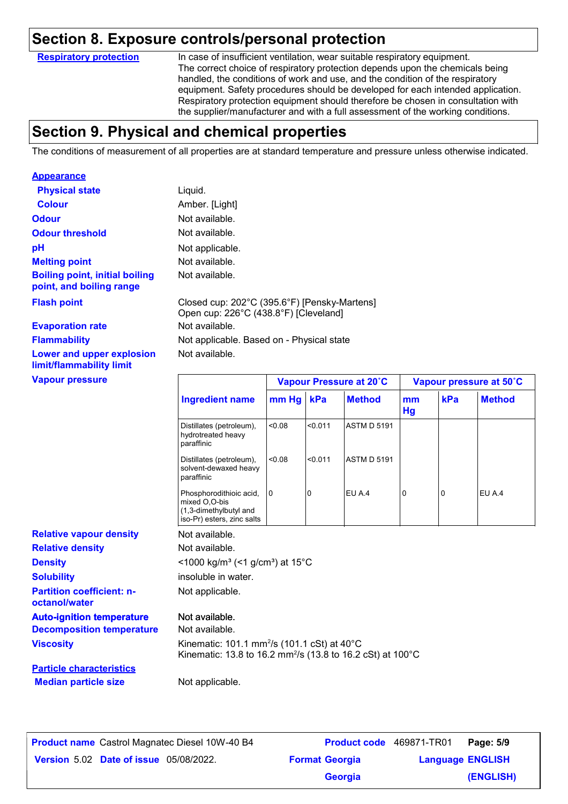#### **Section 8. Exposure controls/personal protection**

**Respiratory protection**

In case of insufficient ventilation, wear suitable respiratory equipment. The correct choice of respiratory protection depends upon the chemicals being handled, the conditions of work and use, and the condition of the respiratory equipment. Safety procedures should be developed for each intended application. Respiratory protection equipment should therefore be chosen in consultation with the supplier/manufacturer and with a full assessment of the working conditions.

### **Section 9. Physical and chemical properties**

The conditions of measurement of all properties are at standard temperature and pressure unless otherwise indicated.

| <b>Appearance</b>                                                    |                                                                                                                                   |        |         |                         |          |     |                         |
|----------------------------------------------------------------------|-----------------------------------------------------------------------------------------------------------------------------------|--------|---------|-------------------------|----------|-----|-------------------------|
| <b>Physical state</b>                                                | Liquid.                                                                                                                           |        |         |                         |          |     |                         |
| <b>Colour</b>                                                        | Amber. [Light]                                                                                                                    |        |         |                         |          |     |                         |
| <b>Odour</b>                                                         | Not available.                                                                                                                    |        |         |                         |          |     |                         |
| <b>Odour threshold</b>                                               | Not available.                                                                                                                    |        |         |                         |          |     |                         |
| pH                                                                   | Not applicable.                                                                                                                   |        |         |                         |          |     |                         |
| <b>Melting point</b>                                                 | Not available.                                                                                                                    |        |         |                         |          |     |                         |
| <b>Boiling point, initial boiling</b><br>point, and boiling range    | Not available.                                                                                                                    |        |         |                         |          |     |                         |
| <b>Flash point</b>                                                   | Closed cup: 202°C (395.6°F) [Pensky-Martens]<br>Open cup: 226°C (438.8°F) [Cleveland]                                             |        |         |                         |          |     |                         |
| <b>Evaporation rate</b>                                              | Not available.                                                                                                                    |        |         |                         |          |     |                         |
| <b>Flammability</b>                                                  | Not applicable. Based on - Physical state                                                                                         |        |         |                         |          |     |                         |
| Lower and upper explosion<br>limit/flammability limit                | Not available.                                                                                                                    |        |         |                         |          |     |                         |
| <b>Vapour pressure</b>                                               |                                                                                                                                   |        |         | Vapour Pressure at 20°C |          |     | Vapour pressure at 50°C |
|                                                                      | <b>Ingredient name</b>                                                                                                            | mm Hg  | kPa     | <b>Method</b>           | mm<br>Hg | kPa | <b>Method</b>           |
|                                                                      | Distillates (petroleum),<br>hydrotreated heavy<br>paraffinic                                                                      | 0.08   | < 0.011 | <b>ASTM D 5191</b>      |          |     |                         |
|                                                                      | Distillates (petroleum),<br>solvent-dewaxed heavy<br>paraffinic                                                                   | < 0.08 | < 0.011 | <b>ASTM D 5191</b>      |          |     |                         |
|                                                                      | Phosphorodithioic acid,<br>mixed O,O-bis<br>(1,3-dimethylbutyl and<br>iso-Pr) esters, zinc salts                                  | 0      | 0       | EU A.4                  | 0        | 0   | EU A.4                  |
| <b>Relative vapour density</b>                                       | Not available.                                                                                                                    |        |         |                         |          |     |                         |
| <b>Relative density</b>                                              | Not available.                                                                                                                    |        |         |                         |          |     |                         |
|                                                                      |                                                                                                                                   |        |         |                         |          |     |                         |
|                                                                      | <1000 kg/m <sup>3</sup> (<1 g/cm <sup>3</sup> ) at 15 <sup>°</sup> C                                                              |        |         |                         |          |     |                         |
| <b>Density</b><br><b>Solubility</b>                                  | insoluble in water.                                                                                                               |        |         |                         |          |     |                         |
| <b>Partition coefficient: n-</b><br>octanol/water                    | Not applicable.                                                                                                                   |        |         |                         |          |     |                         |
|                                                                      | Not available.                                                                                                                    |        |         |                         |          |     |                         |
| <b>Auto-ignition temperature</b><br><b>Decomposition temperature</b> | Not available.                                                                                                                    |        |         |                         |          |     |                         |
| <b>Viscosity</b>                                                     | Kinematic: 101.1 mm <sup>2</sup> /s (101.1 cSt) at 40°C<br>Kinematic: 13.8 to 16.2 mm <sup>2</sup> /s (13.8 to 16.2 cSt) at 100°C |        |         |                         |          |     |                         |
| <b>Particle characteristics</b>                                      |                                                                                                                                   |        |         |                         |          |     |                         |

| <b>Product name</b> Castrol Magnatec Diesel 10W-40 B4 | Product code 469871-TR01 |                         | Page: 5/9 |
|-------------------------------------------------------|--------------------------|-------------------------|-----------|
| <b>Version 5.02 Date of issue 05/08/2022.</b>         | <b>Format Georgia</b>    | <b>Language ENGLISH</b> |           |
|                                                       | Georgia                  |                         | (ENGLISH) |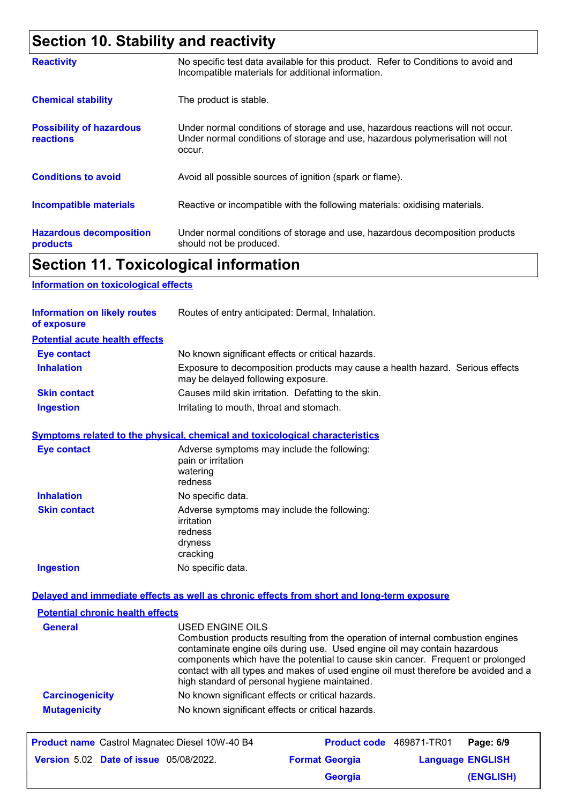# **Section 10. Stability and reactivity**

| <b>Reactivity</b>                                   | No specific test data available for this product. Refer to Conditions to avoid and<br>Incompatible materials for additional information.                                   |
|-----------------------------------------------------|----------------------------------------------------------------------------------------------------------------------------------------------------------------------------|
| <b>Chemical stability</b>                           | The product is stable.                                                                                                                                                     |
| <b>Possibility of hazardous</b><br><b>reactions</b> | Under normal conditions of storage and use, hazardous reactions will not occur.<br>Under normal conditions of storage and use, hazardous polymerisation will not<br>occur. |
| <b>Conditions to avoid</b>                          | Avoid all possible sources of ignition (spark or flame).                                                                                                                   |
| <b>Incompatible materials</b>                       | Reactive or incompatible with the following materials: oxidising materials.                                                                                                |
| <b>Hazardous decomposition</b><br>products          | Under normal conditions of storage and use, hazardous decomposition products<br>should not be produced.                                                                    |

### **Section 11. Toxicological information**

#### **Information on toxicological effects**

| <b>Information on likely routes</b><br>of exposure | Routes of entry anticipated: Dermal, Inhalation.                                                                    |
|----------------------------------------------------|---------------------------------------------------------------------------------------------------------------------|
| <b>Potential acute health effects</b>              |                                                                                                                     |
| <b>Eye contact</b>                                 | No known significant effects or critical hazards.                                                                   |
| <b>Inhalation</b>                                  | Exposure to decomposition products may cause a health hazard. Serious effects<br>may be delayed following exposure. |
| <b>Skin contact</b>                                | Causes mild skin irritation. Defatting to the skin.                                                                 |
| <b>Ingestion</b>                                   | Irritating to mouth, throat and stomach.                                                                            |

#### **Symptoms related to the physical, chemical and toxicological characteristics**

| <b>Eye contact</b>  | Adverse symptoms may include the following:<br>pain or irritation<br>watering<br>redness    |
|---------------------|---------------------------------------------------------------------------------------------|
| <b>Inhalation</b>   | No specific data.                                                                           |
| <b>Skin contact</b> | Adverse symptoms may include the following:<br>irritation<br>redness<br>dryness<br>cracking |
| <b>Ingestion</b>    | No specific data.                                                                           |

#### **Delayed and immediate effects as well as chronic effects from short and long-term exposure**

| <b>Potential chronic health effects</b> |                                                                                                                                                                                                                                                                                                                                                                                                             |
|-----------------------------------------|-------------------------------------------------------------------------------------------------------------------------------------------------------------------------------------------------------------------------------------------------------------------------------------------------------------------------------------------------------------------------------------------------------------|
| <b>General</b>                          | USED ENGINE OILS<br>Combustion products resulting from the operation of internal combustion engines<br>contaminate engine oils during use. Used engine oil may contain hazardous<br>components which have the potential to cause skin cancer. Frequent or prolonged<br>contact with all types and makes of used engine oil must therefore be avoided and a<br>high standard of personal hygiene maintained. |
| <b>Carcinogenicity</b>                  | No known significant effects or critical hazards.                                                                                                                                                                                                                                                                                                                                                           |
| <b>Mutagenicity</b>                     | No known significant effects or critical hazards.                                                                                                                                                                                                                                                                                                                                                           |

| <b>Product name</b> Castrol Magnatec Diesel 10W-40 B4 |                       | Product code 469871-TR01 Page: 6/9 |
|-------------------------------------------------------|-----------------------|------------------------------------|
| <b>Version 5.02 Date of issue 05/08/2022.</b>         | <b>Format Georgia</b> | <b>Language ENGLISH</b>            |
|                                                       | <b>Georgia</b>        | (ENGLISH)                          |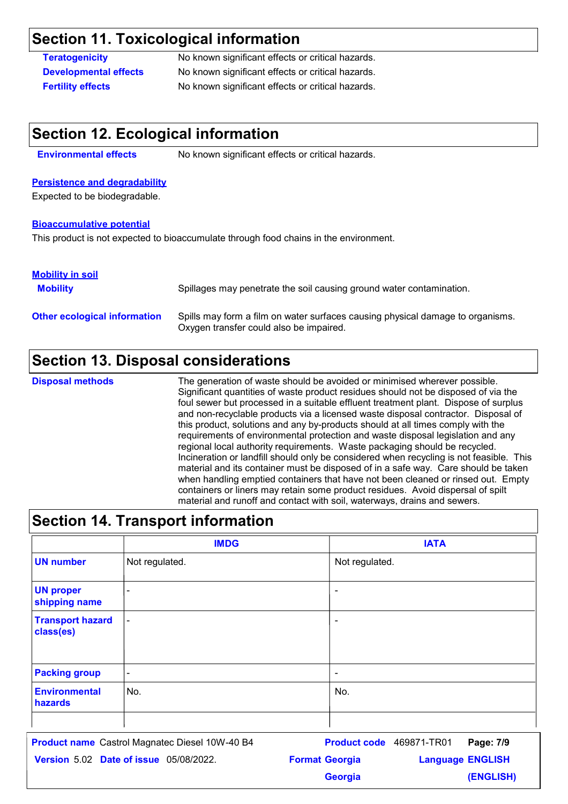### **Section 11. Toxicological information**

**Teratogenicity** No known significant effects or critical hazards. **Developmental effects** No known significant effects or critical hazards. **Fertility effects** No known significant effects or critical hazards.

#### **Section 12. Ecological information**

**Environmental effects** No known significant effects or critical hazards.

#### **Persistence and degradability**

Expected to be biodegradable.

#### **Bioaccumulative potential**

This product is not expected to bioaccumulate through food chains in the environment.

#### **Mobility in soil**

| <b>Mobility</b>                     | Spillages may penetrate the soil causing ground water contamination.                                                      |
|-------------------------------------|---------------------------------------------------------------------------------------------------------------------------|
| <b>Other ecological information</b> | Spills may form a film on water surfaces causing physical damage to organisms.<br>Oxygen transfer could also be impaired. |

### **Section 13. Disposal considerations**

The generation of waste should be avoided or minimised wherever possible. Significant quantities of waste product residues should not be disposed of via the foul sewer but processed in a suitable effluent treatment plant. Dispose of surplus and non-recyclable products via a licensed waste disposal contractor. Disposal of this product, solutions and any by-products should at all times comply with the requirements of environmental protection and waste disposal legislation and any regional local authority requirements. Waste packaging should be recycled. Incineration or landfill should only be considered when recycling is not feasible. This material and its container must be disposed of in a safe way. Care should be taken when handling emptied containers that have not been cleaned or rinsed out. Empty containers or liners may retain some product residues. Avoid dispersal of spilt material and runoff and contact with soil, waterways, drains and sewers. **Disposal methods**

| <b>Section 14. Transport information</b> |                |                |  |
|------------------------------------------|----------------|----------------|--|
|                                          | <b>IMDG</b>    | <b>IATA</b>    |  |
| <b>UN number</b>                         | Not regulated. | Not regulated. |  |
| <b>UN proper</b><br>shipping name        |                |                |  |
| <b>Transport hazard</b><br>class(es)     | ۰              |                |  |
| <b>Packing group</b>                     | $\blacksquare$ | ۰              |  |
| <b>Environmental</b><br>hazards          | No.            | No.            |  |
|                                          |                |                |  |

**Date of issue** 05/08/2022. **Version** 5.02 **Format Georgia Language Product name** Castrol Magnatec Diesel 10W-40 B4 **Product code** 469871-TR01 **Page: 7/9** | **Language ENGLISH (ENGLISH)** Product code 469871-TR01 Page: 7/9 **Georgia**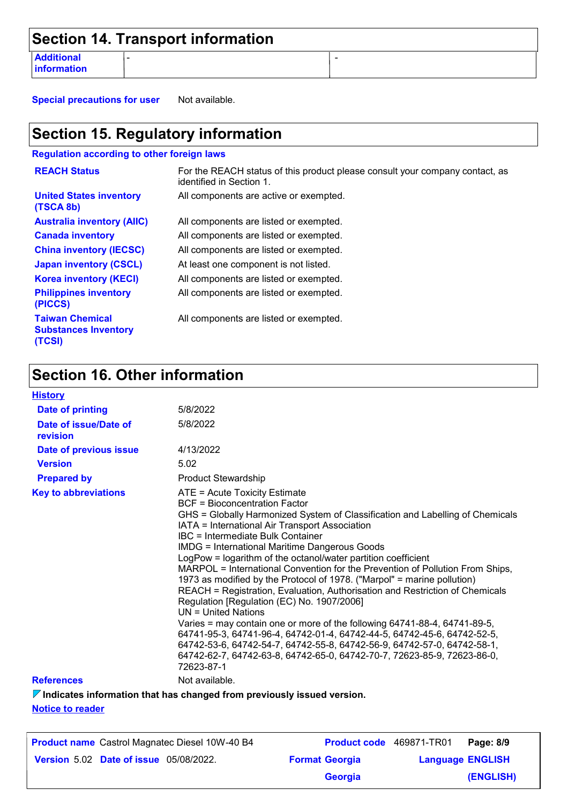|                                  | Section 14. Transport information |  |
|----------------------------------|-----------------------------------|--|
| <b>Additional</b><br>information |                                   |  |

**Special precautions for user** Not available.

### **Section 15. Regulatory information**

**Regulation according to other foreign laws**

| <b>REACH Status</b>                                             | For the REACH status of this product please consult your company contact, as<br>identified in Section 1. |
|-----------------------------------------------------------------|----------------------------------------------------------------------------------------------------------|
| <b>United States inventory</b><br>(TSCA 8b)                     | All components are active or exempted.                                                                   |
| <b>Australia inventory (AIIC)</b>                               | All components are listed or exempted.                                                                   |
| <b>Canada inventory</b>                                         | All components are listed or exempted.                                                                   |
| <b>China inventory (IECSC)</b>                                  | All components are listed or exempted.                                                                   |
| <b>Japan inventory (CSCL)</b>                                   | At least one component is not listed.                                                                    |
| <b>Korea inventory (KECI)</b>                                   | All components are listed or exempted.                                                                   |
| <b>Philippines inventory</b><br>(PICCS)                         | All components are listed or exempted.                                                                   |
| <b>Taiwan Chemical</b><br><b>Substances Inventory</b><br>(TCSI) | All components are listed or exempted.                                                                   |

## **Section 16. Other information**

| <b>History</b>                    |                                                                                                                                                                                                                                                                                                                                                                                                                                                                                                                                                                                                                                                                                                                                                                                                                                                                                                                                                                                                                |
|-----------------------------------|----------------------------------------------------------------------------------------------------------------------------------------------------------------------------------------------------------------------------------------------------------------------------------------------------------------------------------------------------------------------------------------------------------------------------------------------------------------------------------------------------------------------------------------------------------------------------------------------------------------------------------------------------------------------------------------------------------------------------------------------------------------------------------------------------------------------------------------------------------------------------------------------------------------------------------------------------------------------------------------------------------------|
| <b>Date of printing</b>           | 5/8/2022                                                                                                                                                                                                                                                                                                                                                                                                                                                                                                                                                                                                                                                                                                                                                                                                                                                                                                                                                                                                       |
| Date of issue/Date of<br>revision | 5/8/2022                                                                                                                                                                                                                                                                                                                                                                                                                                                                                                                                                                                                                                                                                                                                                                                                                                                                                                                                                                                                       |
| Date of previous issue            | 4/13/2022                                                                                                                                                                                                                                                                                                                                                                                                                                                                                                                                                                                                                                                                                                                                                                                                                                                                                                                                                                                                      |
| <b>Version</b>                    | 5.02                                                                                                                                                                                                                                                                                                                                                                                                                                                                                                                                                                                                                                                                                                                                                                                                                                                                                                                                                                                                           |
| <b>Prepared by</b>                | <b>Product Stewardship</b>                                                                                                                                                                                                                                                                                                                                                                                                                                                                                                                                                                                                                                                                                                                                                                                                                                                                                                                                                                                     |
| <b>Key to abbreviations</b>       | ATE = Acute Toxicity Estimate<br>BCF = Bioconcentration Factor<br>GHS = Globally Harmonized System of Classification and Labelling of Chemicals<br>IATA = International Air Transport Association<br>IBC = Intermediate Bulk Container<br><b>IMDG = International Maritime Dangerous Goods</b><br>LogPow = logarithm of the octanol/water partition coefficient<br>MARPOL = International Convention for the Prevention of Pollution From Ships,<br>1973 as modified by the Protocol of 1978. ("Marpol" = marine pollution)<br>REACH = Registration, Evaluation, Authorisation and Restriction of Chemicals<br>Regulation [Regulation (EC) No. 1907/2006]<br>$UN = United Nations$<br>Varies = may contain one or more of the following 64741-88-4, 64741-89-5,<br>64741-95-3, 64741-96-4, 64742-01-4, 64742-44-5, 64742-45-6, 64742-52-5,<br>64742-53-6, 64742-54-7, 64742-55-8, 64742-56-9, 64742-57-0, 64742-58-1,<br>64742-62-7, 64742-63-8, 64742-65-0, 64742-70-7, 72623-85-9, 72623-86-0,<br>72623-87-1 |
| <b>References</b>                 | Not available.                                                                                                                                                                                                                                                                                                                                                                                                                                                                                                                                                                                                                                                                                                                                                                                                                                                                                                                                                                                                 |
|                                   |                                                                                                                                                                                                                                                                                                                                                                                                                                                                                                                                                                                                                                                                                                                                                                                                                                                                                                                                                                                                                |

**Indicates information that has changed from previously issued version.**

**Notice to reader**

| <b>Product name</b> Castrol Magnatec Diesel 10W-40 B4 | <b>Product code</b> 469871-TR01 |                         | Page: 8/9 |
|-------------------------------------------------------|---------------------------------|-------------------------|-----------|
| <b>Version 5.02 Date of issue 05/08/2022.</b>         | <b>Format Georgia</b>           | <b>Language ENGLISH</b> |           |
|                                                       | <b>Georgia</b>                  |                         | (ENGLISH) |